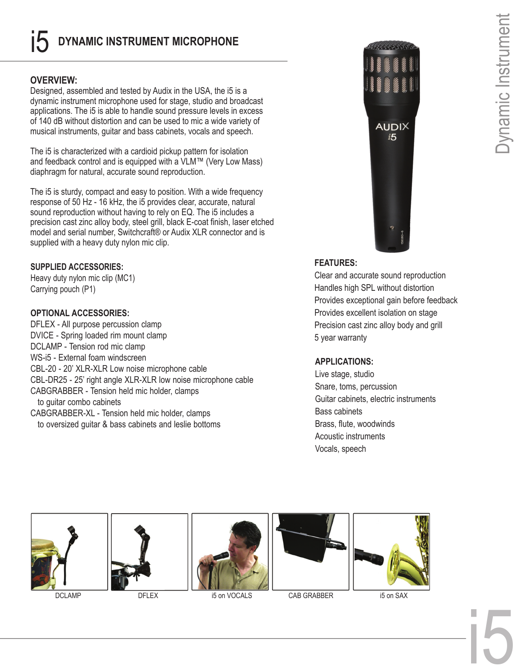# i5 **DYNAMIC INSTRUMENT MICROPHONE**

### **OVERVIEW:**

Designed, assembled and tested by Audix in the USA, the i5 is a dynamic instrument microphone used for stage, studio and broadcast applications. The i5 is able to handle sound pressure levels in excess of 140 dB without distortion and can be used to mic a wide variety of musical instruments, guitar and bass cabinets, vocals and speech.

The i5 is characterized with a cardioid pickup pattern for isolation and feedback control and is equipped with a VLM™ (Very Low Mass) diaphragm for natural, accurate sound reproduction.

The i5 is sturdy, compact and easy to position. With a wide frequency response of 50 Hz - 16 kHz, the i5 provides clear, accurate, natural sound reproduction without having to rely on EQ. The i5 includes a precision cast zinc alloy body, steel grill, black E-coat finish, laser etched model and serial number, Switchcraft® or Audix XLR connector and is supplied with a heavy duty nylon mic clip.

### **SUPPLIED ACCESSORIES:**

Heavy duty nylon mic clip (MC1) Carrying pouch (P1)

### **OPTIONAL ACCESSORIES:**

DFLEX - All purpose percussion clamp DVICE - Spring loaded rim mount clamp DCLAMP - Tension rod mic clamp WS-i5 - External foam windscreen CBL-20 - 20' XLR-XLR Low noise microphone cable CBL-DR25 - 25' right angle XLR-XLR low noise microphone cable CABGRABBER - Tension held mic holder, clamps to guitar combo cabinets CABGRABBER-XL - Tension held mic holder, clamps to oversized guitar & bass cabinets and leslie bottoms



## **FEATURES:**

Clear and accurate sound reproduction Handles high SPL without distortion Provides exceptional gain before feedback Provides excellent isolation on stage Precision cast zinc alloy body and grill 5 year warranty

## **APPLICATIONS:**

Live stage, studio Snare, toms, percussion Guitar cabinets, electric instruments Bass cabinets Brass, flute, woodwinds Acoustic instruments Vocals, speech











DCLAMP DFLEX i5 on VOCALS CAB GRABBER i5 on SAX